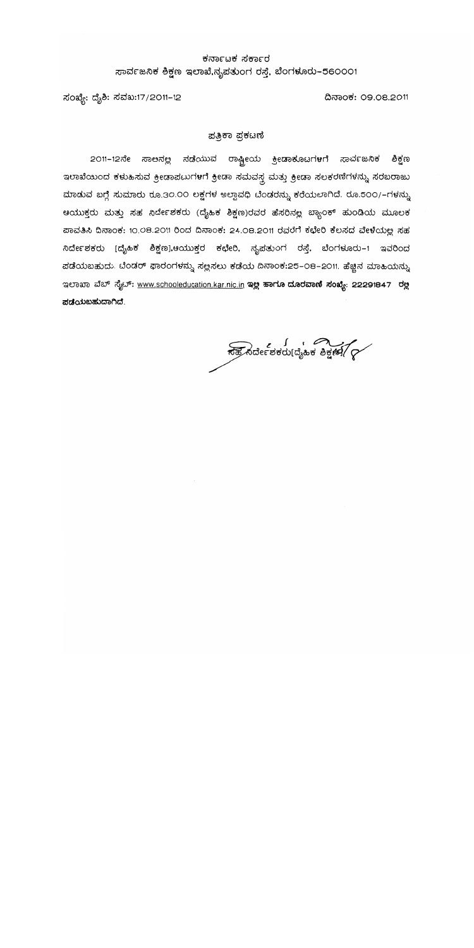### ಕರ್ನಾಟಕ ಸರ್ಕಾರ ಸಾರ್ವಜನಿಕ ಶಿಕ್ಷಣ ಇಲಾಖೆ,ನೃಪತುಂಗ ರಸ್ತೆ, ಬೆಂಗಳೂರು-560001

ದಿನಾಂಕ: 09.08.2011

ಸಂಖ್ಯೆ: ದೈಶಿ: ಸವಖ:17/2011-12

#### ಪತ್ರಿಕಾ ಪ್ರಕಟಣಿ

2011–12ನೇ ಸಾಅನಲ್ಲ ನಡೆಯುವ ರಾಷ್ಟ್ರೀಯ ಕ್ರೀಡಾಕೂಟಗಳಗೆ ಸಾರ್ವಜನಿಕ ಶಿಕ್ಷಣ ಇಲಾಖೆಯಿಂದ ಕಳುಹಿಸುವ ಕ್ರೀಡಾಪಟುಗಳಗೆ ಕ್ರೀಡಾ ಸಮವಸ್ತ್ರ ಮತ್ತು ಕ್ರೀಡಾ ಸಲಕರಣಿಗಳನ್ನು ಸರಬರಾಜು ಮಾಡುವ ಬಗ್ಗೆ ಸುಮಾರು ರೂ.30.00 ಲಕ್ಷಗಳ ಅಲ್ಪಾವಧಿ ಬೆಂಡರನ್ನು ಕರೆಯಲಾಗಿದೆ. ರೂ.500/–ಗಳನ್ನು ಆಯುಕ್ತರು ಮತ್ತು ಸಹ ನಿರ್ದೇಶಕರು (ದೈಹಿಕ ಶಿಕ್ಷಣ)ರವರ ಹೆಸರಿನಲ್ಲ ಬ್ಯಾಂಕ್ ಹುಂಡಿಯ ಮೂಲಕ ಪಾವತಿಸಿ ದಿನಾಂಕ: 10.08.2011 ರಿಂದ ದಿನಾಂಕ: 24.08.2011 ರವರೆಗೆ ಕಛೇರಿ ಕೆಲಸದ ವೇಳೆಯಲ್ಲ ಸಹ ನಿರ್ದೇಶಕರು [ದೈಹಿಕ ಶಿಕ್ಷಣ],ಆಯುಕ್ತರ ಕಛೇರಿ, ನೃಪತುಂಗ ರಸ್ತೆ, ಬೆಂಗಳೂರು–1 ಇವರಿಂದ ಪಡೆಯಬಹುದು. ಬೆಂಡರ್ ಫಾರಂಗಳನ್ನು ಸಲ್ಲಸಲು ಕಡೆಯ ದಿನಾಂಕ:25-08-2011. ಹೆಚ್ಚಿನ ಮಾಹಿಯನ್ನು ಇಲಾಖಾ ವೆಬ್ ಸೈಬ್: www.schooleducation.kar.nic.in ಇಲ್ಲ ಹಾಗೂ ದೂರವಾಣಿ ಸಂಖ್ಯೆ: 22291847 ರಲ್ಲ ಪಡೆಯಬಹುದಾಗಿದೆ.

್ಯಾನಿರ್ದೇಶಕರು[ದೈಹಿಕ ಶಿಕ್ಷಣೆ] (?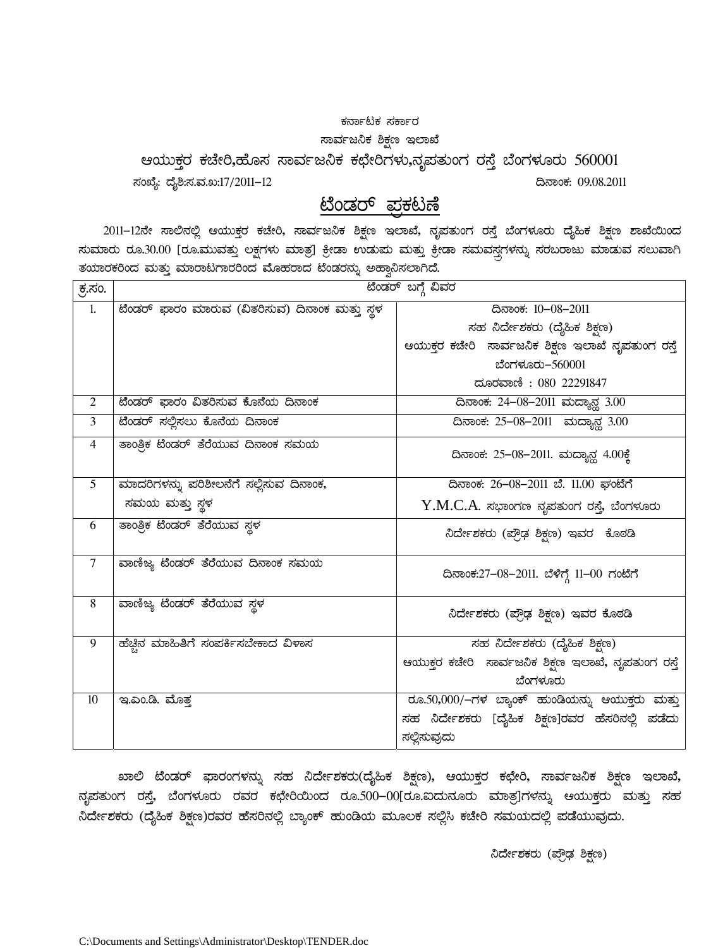#### ಕರ್ನಾಟಕ ಸರ್ಕಾರ

#### ಸಾರ್ವಜನಿಕ ಶಿಕ್ಷಣ ಇಲಾಖೆ

ಆಯುಕ್ತರ ಕಚೇರಿ,ಹೊಸ ಸಾರ್ವಜನಿಕ ಕಛೇರಿಗಳು,ನೃಪತುಂಗ ರಸ್ತೆ ಬೆಂಗಳೂರು 560001

ಸಂಖ್ಯೆ: ದೈಶಿ:ಸ.ವ.ಖ:17/2011–12  $\sim$ 

# <u>ಟೆಂಡರ್ ಪ್ರಕಟಣೆ</u>

2011–12ನೇ ಸಾಲಿನಲ್ಲಿ ಆಯುಕ್ತರ ಕಚೇರಿ, ಸಾರ್ವಜನಿಕ ಶಿಕ್ಷಣ ಇಲಾಖೆ, ನೃಪತುಂಗ ರಸ್ತೆ ಬೆಂಗಳೂರು ದೈಹಿಕ ಶಿಕ್ಷಣ ಶಾಖೆಯಿಂದ ಸುಮಾರು ರೂ.30.00 [ರೂ.ಮುವತ್ತು ಲಕ್ಷಗಳು ಮಾತ್ರ] ಕ್ರೀಡಾ ಉಡುಮ ಮತ್ತು ಕ್ರೀಡಾ ಸಮವಸ್ತ್ರಗಳನ್ನು ಸರಬರಾಜು ಮಾಡುವ ಸಲುವಾಗಿ ತಯಾರಕರಿಂದ ಮತ್ತು ಮಾರಾಟಗಾರರಿಂದ ಮೊಹರಾದ ಟೆಂಡರನ್ನು ಅಹ್ವಾನಿಸಲಾಗಿದೆ.

| ಕ್ರ.ಸಂ.        |                                                | ಟೆಂಡರ್ ಬಗ್ಗೆ ವಿವರ                                   |
|----------------|------------------------------------------------|-----------------------------------------------------|
| 1.             | ಟೆಂಡರ್ ಫಾರಂ ಮಾರುವ (ವಿತರಿಸುವ) ದಿನಾಂಕ ಮತ್ತು ಸ್ಥಳ | ದಿನಾಂಕ: 10-08-2011                                  |
|                |                                                | ಸಹ ನಿರ್ದೇಶಕರು (ದೈಹಿಕ ಶಿಕ್ಷಣ)                        |
|                |                                                | ಆಯುಕ್ತರ ಕಚೇರಿ  ಸಾರ್ವಜನಿಕ ಶಿಕ್ಷಣ ಇಲಾಖೆ ನೃಪತುಂಗ ರಸ್ತೆ |
|                |                                                | ಬೆಂಗಳೂರು-560001                                     |
|                |                                                | ದೂರವಾಣಿ : 080 22291847                              |
| $\overline{2}$ | ಟೆಂಡರ್ ಫಾರಂ ವಿತರಿಸುವ ಕೊನೆಯ ದಿನಾಂಕ              | ದಿನಾಂಕ: 24-08-2011 ಮದ್ಯಾನ್ಲ 3.00                    |
| 3              | ಟೆಂಡರ್ ಸಲ್ಲಿಸಲು ಕೊನೆಯ ದಿನಾಂಕ                   | ದಿನಾಂಕ: 25-08-2011 ಮದ್ಯಾನ್ಲ 3.00                    |
| $\overline{4}$ | ತಾಂತ್ರಿಕ ಟೆಂಡರ್ ತೆರೆಯುವ ದಿನಾಂಕ ಸಮಯ             | ದಿನಾಂಕ: 25-08-2011. ಮದ್ಯಾನ್ಲ 4.00ಕ್ಕೆ               |
| 5 <sup>5</sup> | ಮಾದರಿಗಳನ್ನು ಪರಿಶೀಲನೆಗೆ ಸಲ್ಲಿಸುವ ದಿನಾಂಕ,        | ದಿನಾಂಕ: 26-08-2011 ಬೆ. 11.00 ಘಂಟೆಗೆ                 |
|                | ಸಮಯ ಮತ್ತು ಸ್ಥಳ                                 | ${\rm Y.M.C.A.}$ ಸಭಾಂಗಣ ನೃಪತುಂಗ ರಸ್ತೆ, ಬೆಂಗಳೂರು     |
| 6              | ತಾಂತ್ರಿಕ ಟೆಂಡರ್ ತೆರೆಯುವ ಸ್ಥಳ                   | ನಿರ್ದೇಶಕರು (ಪ್ರೌಢ ಶಿಕ್ಷಣ) ಇವರ  ಕೊಠಡಿ                |
| $\overline{7}$ | ವಾಣಿಜ್ಯ ಟೆಂಡರ್ ತೆರೆಯುವ ದಿನಾಂಕ ಸಮಯ              | ದಿನಾಂಕ:27–08–2011. ಬೆಳಿಗ್ಗೆ 11–00 ಗಂಟೆಗೆ            |
| $8\,$          | ವಾಣಿಜ್ಯ ಟೆಂಡರ್ ತೆರೆಯುವ ಸ್ಥಳ                    | ನಿರ್ದೇಶಕರು (ಪ್ರೌಢ ಶಿಕ್ಷಣ) ಇವರ ಕೊಠಡಿ                 |
| 9              | ಹೆಚ್ಚಿನ ಮಾಹಿತಿಗೆ ಸಂಪರ್ಕಿಸಬೇಕಾದ ವಿಳಾಸ           | ಸಹ ನಿರ್ದೇಶಕರು (ದೈಹಿಕ ಶಿಕ್ಷಣ)                        |
|                |                                                | ಆಯುಕ್ತರ ಕಚೇರಿ ಸಾರ್ವಜನಿಕ ಶಿಕ್ಷಣ ಇಲಾಖೆ, ನೃಪತುಂಗ ರಸ್ತೆ |
|                |                                                | ಬೆಂಗಳೂರು                                            |
| 10             | ಇ.ಎಂ.ಡಿ. ಮೊತ್ತ                                 | ರೂ.50,000/–ಗಳ ಬ್ಯಾಂಕ್ ಹುಂಡಿಯನ್ನು ಆಯುಕ್ತರು ಮತ್ತು     |
|                |                                                | ಸಹ ನಿರ್ದೇಶಕರು [ದೈಹಿಕ ಶಿಕ್ಷಣ]ರವರ ಹೆಸರಿನಲ್ಲಿ ಪಡೆದು    |
|                |                                                | ಸಲ್ಲಿಸುವುದು                                         |

ಖಾಲಿ ಟೆಂಡರ್ ಫಾರಂಗಳನ್ನು ಸಹ ನಿರ್ದೇಶಕರು(ದೈಹಿಕ ಶಿಕ್ಷಣ), ಆಯುಕ್ತರ ಕಛೇರಿ, ಸಾರ್ವಜನಿಕ ಶಿಕ್ಷಣ ಇಲಾಖೆ,  $\vec{a}_k$ ಹತುಂಗ ರಸ್ತೆ, ಬೆಂಗಳೂರು ರವರ ಕಛೇರಿಯಿಂದ ರೂ.500–00[ರೂ.ಐದುನೂರು ಮಾತ್ರ]ಗಳನ್ನು ಆಯುಕ್ತರು ಮತ್ತು ಸಹ ನಿರ್ದೇಶಕರು (ದೈಹಿಕ ಶಿಕ್ಷಣ)ರವರ ಹೆಸರಿನಲ್ಲಿ ಬ್ಯಾಂಕ್ ಹುಂಡಿಯ ಮೂಲಕ ಸಲ್ಲಿಸಿ ಕಚೇರಿ ಸಮಯದಲ್ಲಿ ಪಡೆಯುವುದು.

ನಿರ್ದೇಶಕರು (ಪ್ರೌಢ ಶಿಕ್ಷಣ)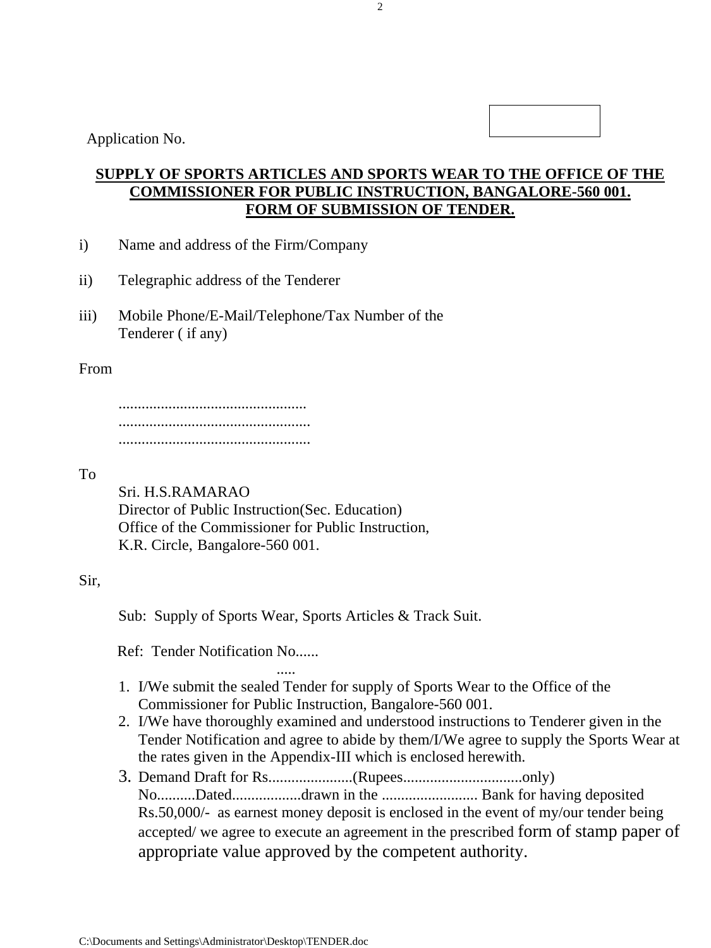Application No.

# **SUPPLY OF SPORTS ARTICLES AND SPORTS WEAR TO THE OFFICE OF THE COMMISSIONER FOR PUBLIC INSTRUCTION, BANGALORE-560 001. FORM OF SUBMISSION OF TENDER.**

- i) Name and address of the Firm/Company
- ii) Telegraphic address of the Tenderer
- iii) Mobile Phone/E-Mail/Telephone/Tax Number of the Tenderer ( if any)

#### From

 ................................................. .................................................. ..................................................

#### To

 Sri. H.S.RAMARAO Director of Public Instruction(Sec. Education) Office of the Commissioner for Public Instruction, K.R. Circle, Bangalore-560 001.

#### Sir,

Sub: Supply of Sports Wear, Sports Articles & Track Suit.

Ref: Tender Notification No......

- ..... 1. I/We submit the sealed Tender for supply of Sports Wear to the Office of the Commissioner for Public Instruction, Bangalore-560 001.
	- 2. I/We have thoroughly examined and understood instructions to Tenderer given in the Tender Notification and agree to abide by them/I/We agree to supply the Sports Wear at the rates given in the Appendix-III which is enclosed herewith.
	- 3. Demand Draft for Rs......................(Rupees...............................only) No..........Dated..................drawn in the ......................... Bank for having deposited Rs.50,000/- as earnest money deposit is enclosed in the event of my/our tender being accepted/ we agree to execute an agreement in the prescribed form of stamp paper of appropriate value approved by the competent authority.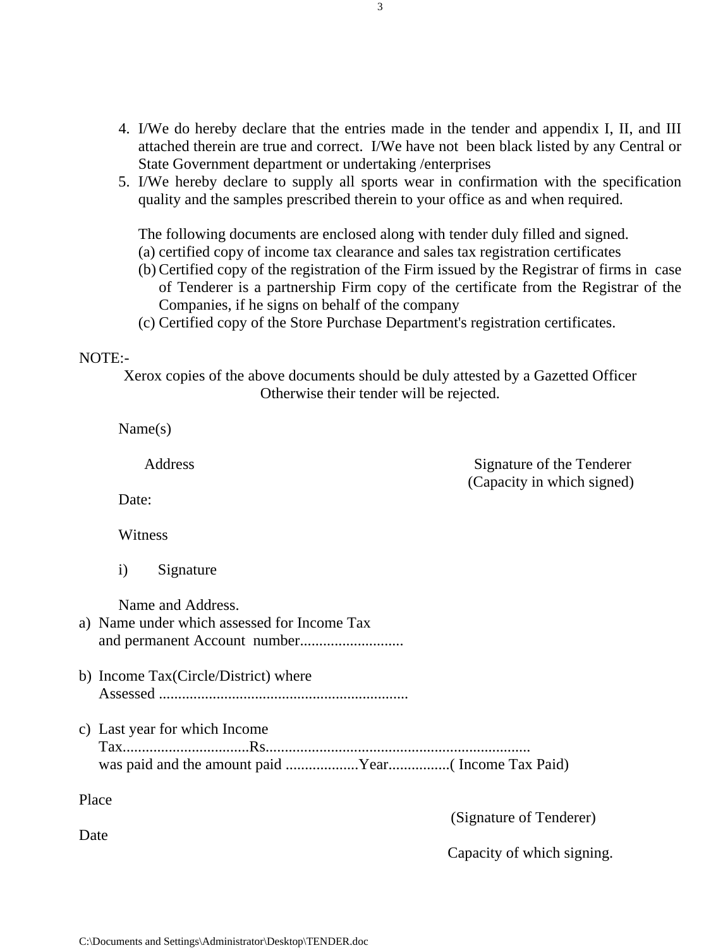- 4. I/We do hereby declare that the entries made in the tender and appendix I, II, and III attached therein are true and correct. I/We have not been black listed by any Central or State Government department or undertaking /enterprises
- 5. I/We hereby declare to supply all sports wear in confirmation with the specification quality and the samples prescribed therein to your office as and when required.

The following documents are enclosed along with tender duly filled and signed. (a) certified copy of income tax clearance and sales tax registration certificates

- (b) Certified copy of the registration of the Firm issued by the Registrar of firms in case of Tenderer is a partnership Firm copy of the certificate from the Registrar of the Companies, if he signs on behalf of the company
- (c) Certified copy of the Store Purchase Department's registration certificates.

#### NOTE:-

Xerox copies of the above documents should be duly attested by a Gazetted Officer Otherwise their tender will be rejected.

Name(s)

Address Signature of the Tenderer (Capacity in which signed)

Date:

Witness

i) Signature

Name and Address.

| a) Name under which assessed for Income Tax                                                                              |
|--------------------------------------------------------------------------------------------------------------------------|
| b) Income Tax(Circle/District) where                                                                                     |
| c) Last year for which Income                                                                                            |
| Place<br>the contract of the contract of the contract of the contract of the contract of the contract of the contract of |

Date

(Signature of Tenderer)

Capacity of which signing.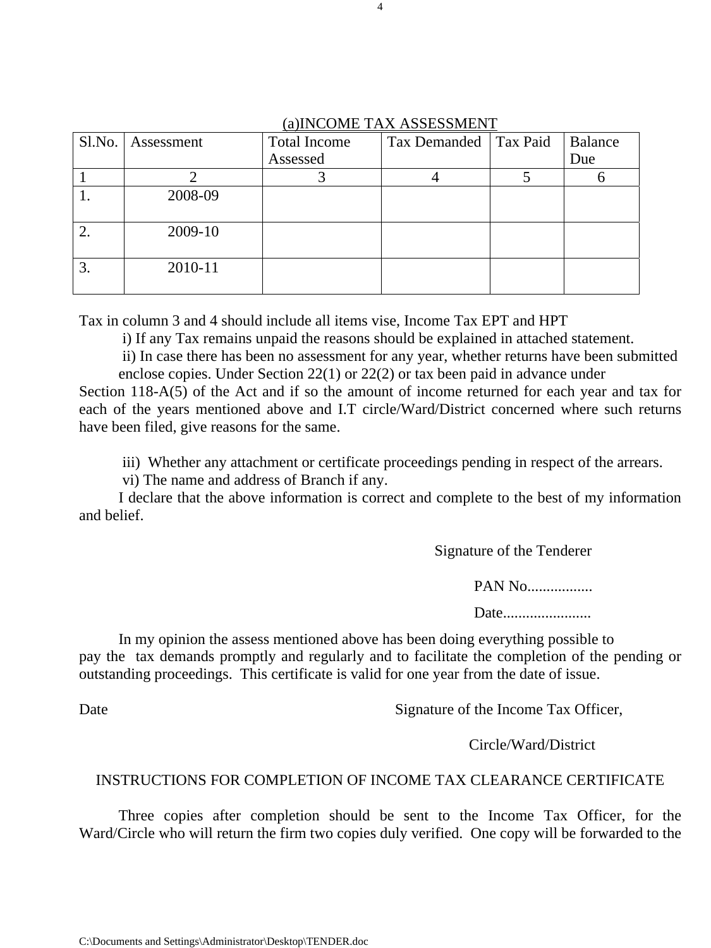#### (a)INCOME TAX ASSESSMENT

|    | Sl.No.   Assessment | <b>Total Income</b> | $\mu$ / $\mu$ , $\infty$ $\sigma$ . The $\mu$ is a substandant $\sigma$<br>Tax Demanded   Tax Paid | Balance |
|----|---------------------|---------------------|----------------------------------------------------------------------------------------------------|---------|
|    |                     | Assessed            |                                                                                                    | Due     |
|    |                     |                     |                                                                                                    |         |
|    | 2008-09             |                     |                                                                                                    |         |
|    | 2009-10             |                     |                                                                                                    |         |
| 3. | 2010-11             |                     |                                                                                                    |         |

Tax in column 3 and 4 should include all items vise, Income Tax EPT and HPT

i) If any Tax remains unpaid the reasons should be explained in attached statement.

 ii) In case there has been no assessment for any year, whether returns have been submitted enclose copies. Under Section 22(1) or 22(2) or tax been paid in advance under

Section 118-A(5) of the Act and if so the amount of income returned for each year and tax for each of the years mentioned above and I.T circle/Ward/District concerned where such returns have been filed, give reasons for the same.

iii) Whether any attachment or certificate proceedings pending in respect of the arrears.

vi) The name and address of Branch if any.

I declare that the above information is correct and complete to the best of my information and belief.

Signature of the Tenderer

PAN No.................

Date........................

In my opinion the assess mentioned above has been doing everything possible to pay the tax demands promptly and regularly and to facilitate the completion of the pending or outstanding proceedings. This certificate is valid for one year from the date of issue.

Date Signature of the Income Tax Officer,

Circle/Ward/District

#### INSTRUCTIONS FOR COMPLETION OF INCOME TAX CLEARANCE CERTIFICATE

 Three copies after completion should be sent to the Income Tax Officer, for the Ward/Circle who will return the firm two copies duly verified. One copy will be forwarded to the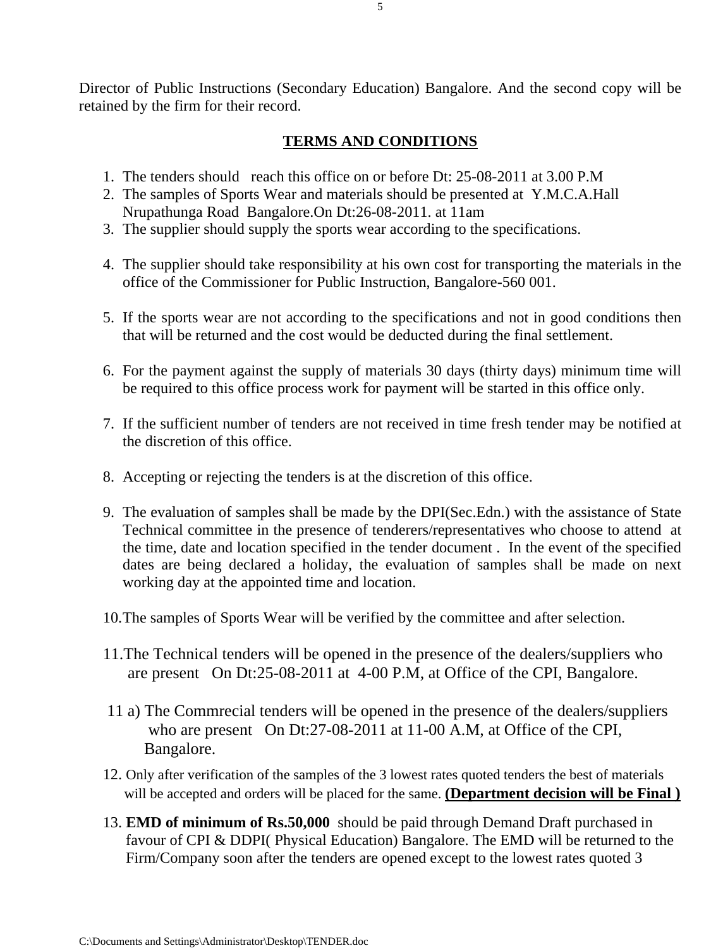Director of Public Instructions (Secondary Education) Bangalore. And the second copy will be retained by the firm for their record.

## **TERMS AND CONDITIONS**

- 1. The tenders should reach this office on or before Dt: 25-08-2011 at 3.00 P.M
- 2. The samples of Sports Wear and materials should be presented at Y.M.C.A.Hall Nrupathunga Road Bangalore.On Dt:26-08-2011. at 11am
- 3. The supplier should supply the sports wear according to the specifications.
- 4. The supplier should take responsibility at his own cost for transporting the materials in the office of the Commissioner for Public Instruction, Bangalore-560 001.
- 5. If the sports wear are not according to the specifications and not in good conditions then that will be returned and the cost would be deducted during the final settlement.
- 6. For the payment against the supply of materials 30 days (thirty days) minimum time will be required to this office process work for payment will be started in this office only.
- 7. If the sufficient number of tenders are not received in time fresh tender may be notified at the discretion of this office.
- 8. Accepting or rejecting the tenders is at the discretion of this office.
- 9. The evaluation of samples shall be made by the DPI(Sec.Edn.) with the assistance of State Technical committee in the presence of tenderers/representatives who choose to attend at the time, date and location specified in the tender document . In the event of the specified dates are being declared a holiday, the evaluation of samples shall be made on next working day at the appointed time and location.
- 10.The samples of Sports Wear will be verified by the committee and after selection.
- 11.The Technical tenders will be opened in the presence of the dealers/suppliers who are present On Dt:25-08-2011 at 4-00 P.M, at Office of the CPI, Bangalore.
- 11 a) The Commrecial tenders will be opened in the presence of the dealers/suppliers who are present On Dt:27-08-2011 at 11-00 A.M, at Office of the CPI, Bangalore.
- 12. Only after verification of the samples of the 3 lowest rates quoted tenders the best of materials will be accepted and orders will be placed for the same. **(Department decision will be Final )**
- 13. **EMD of minimum of Rs.50,000** should be paid through Demand Draft purchased in favour of CPI & DDPI( Physical Education) Bangalore. The EMD will be returned to the Firm/Company soon after the tenders are opened except to the lowest rates quoted 3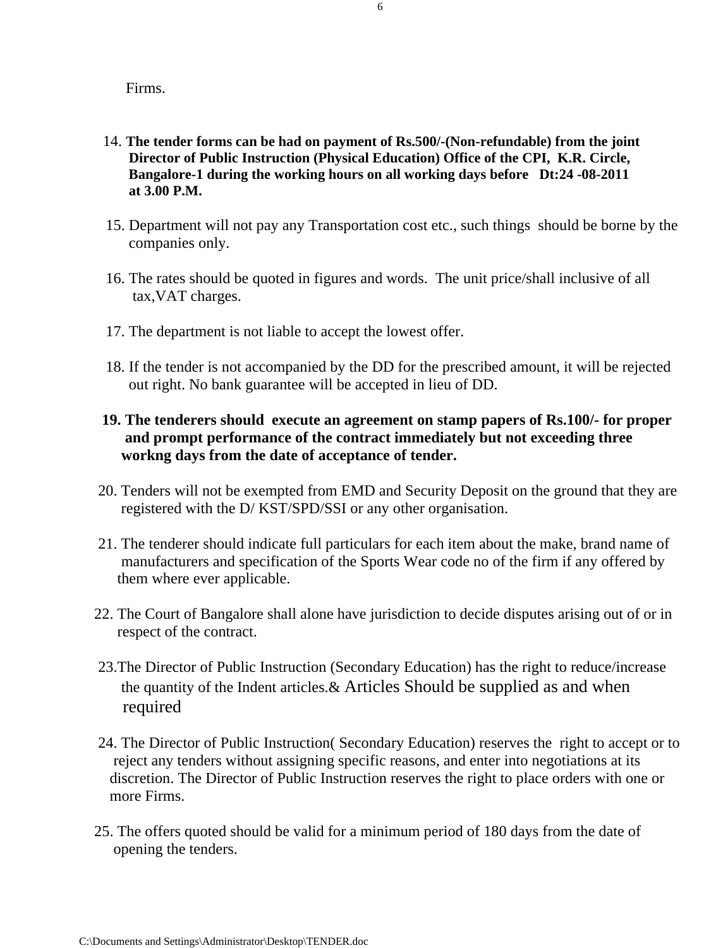Firms.

- 14. **The tender forms can be had on payment of Rs.500/-(Non-refundable) from the joint Director of Public Instruction (Physical Education) Office of the CPI, K.R. Circle, Bangalore-1 during the working hours on all working days before Dt:24 -08-2011 at 3.00 P.M.**
- 15. Department will not pay any Transportation cost etc., such things should be borne by the companies only.
- 16. The rates should be quoted in figures and words. The unit price/shall inclusive of all tax,VAT charges.
- 17. The department is not liable to accept the lowest offer.
- 18. If the tender is not accompanied by the DD for the prescribed amount, it will be rejected out right. No bank guarantee will be accepted in lieu of DD.

## **19. The tenderers should execute an agreement on stamp papers of Rs.100/- for proper and prompt performance of the contract immediately but not exceeding three workng days from the date of acceptance of tender.**

- 20. Tenders will not be exempted from EMD and Security Deposit on the ground that they are registered with the D/ KST/SPD/SSI or any other organisation.
- 21. The tenderer should indicate full particulars for each item about the make, brand name of manufacturers and specification of the Sports Wear code no of the firm if any offered by them where ever applicable.
- 22. The Court of Bangalore shall alone have jurisdiction to decide disputes arising out of or in respect of the contract.
- 23.The Director of Public Instruction (Secondary Education) has the right to reduce/increase the quantity of the Indent articles.& Articles Should be supplied as and when required
- 24. The Director of Public Instruction( Secondary Education) reserves the right to accept or to reject any tenders without assigning specific reasons, and enter into negotiations at its discretion. The Director of Public Instruction reserves the right to place orders with one or more Firms.
- 25. The offers quoted should be valid for a minimum period of 180 days from the date of opening the tenders.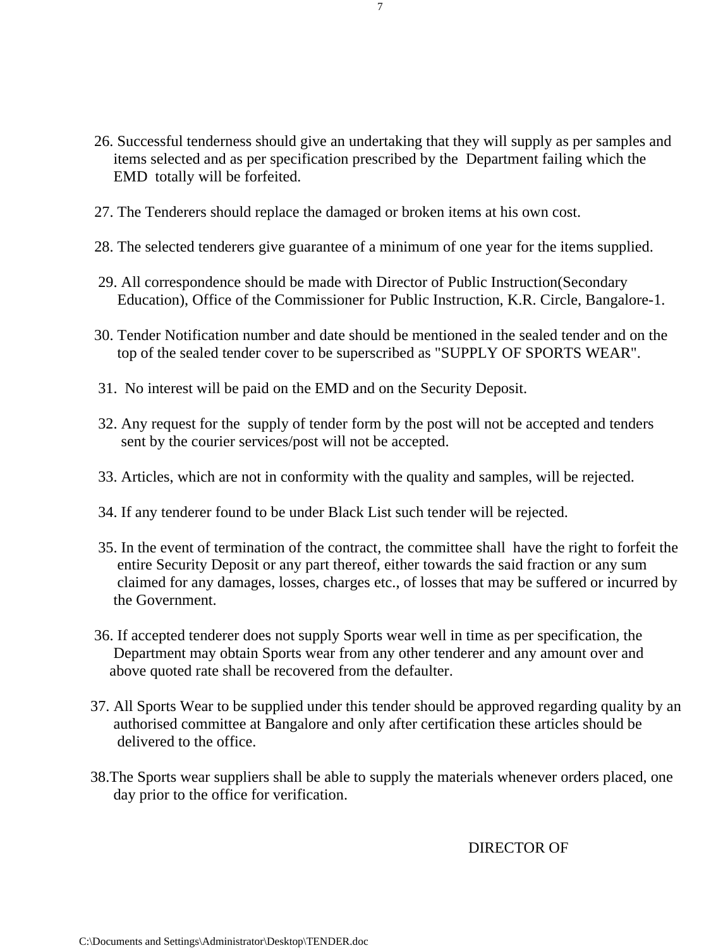- 26. Successful tenderness should give an undertaking that they will supply as per samples and items selected and as per specification prescribed by the Department failing which the EMD totally will be forfeited.
- 27. The Tenderers should replace the damaged or broken items at his own cost.
- 28. The selected tenderers give guarantee of a minimum of one year for the items supplied.
- 29. All correspondence should be made with Director of Public Instruction(Secondary Education), Office of the Commissioner for Public Instruction, K.R. Circle, Bangalore-1.
- 30. Tender Notification number and date should be mentioned in the sealed tender and on the top of the sealed tender cover to be superscribed as "SUPPLY OF SPORTS WEAR".
- 31. No interest will be paid on the EMD and on the Security Deposit.
- 32. Any request for the supply of tender form by the post will not be accepted and tenders sent by the courier services/post will not be accepted.
- 33. Articles, which are not in conformity with the quality and samples, will be rejected.
- 34. If any tenderer found to be under Black List such tender will be rejected.
- 35. In the event of termination of the contract, the committee shall have the right to forfeit the entire Security Deposit or any part thereof, either towards the said fraction or any sum claimed for any damages, losses, charges etc., of losses that may be suffered or incurred by the Government.
- 36. If accepted tenderer does not supply Sports wear well in time as per specification, the Department may obtain Sports wear from any other tenderer and any amount over and above quoted rate shall be recovered from the defaulter.
- 37. All Sports Wear to be supplied under this tender should be approved regarding quality by an authorised committee at Bangalore and only after certification these articles should be delivered to the office.
- 38.The Sports wear suppliers shall be able to supply the materials whenever orders placed, one day prior to the office for verification.

DIRECTOR OF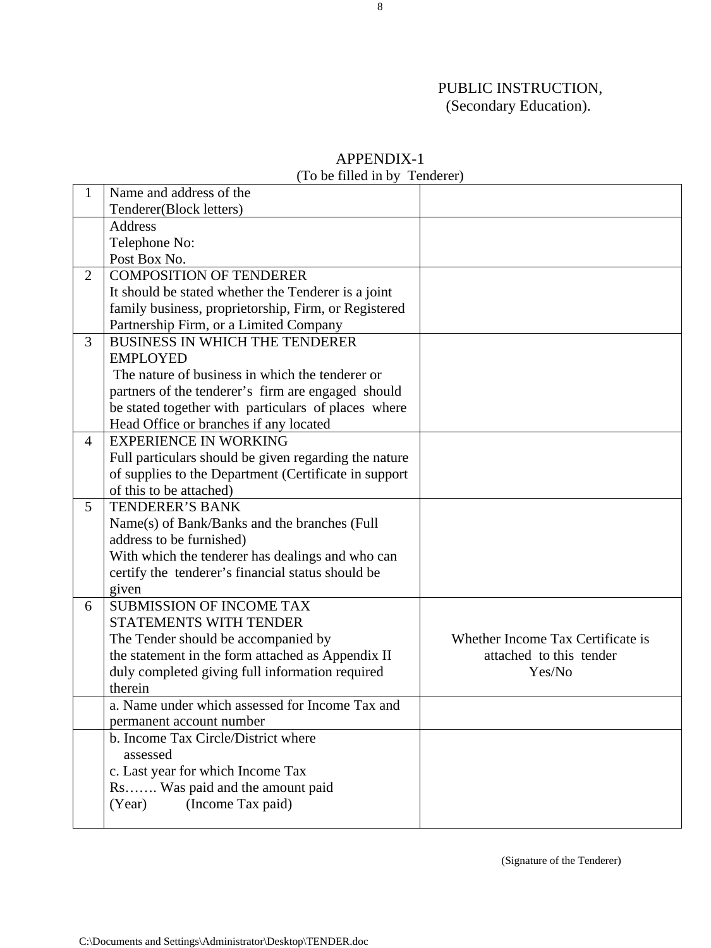# PUBLIC INSTRUCTION, (Secondary Education).

|                | $(1001$ model in $0y$                                 | T VIRVI VI I                      |
|----------------|-------------------------------------------------------|-----------------------------------|
| 1              | Name and address of the                               |                                   |
|                | Tenderer(Block letters)                               |                                   |
|                | <b>Address</b>                                        |                                   |
|                | Telephone No:                                         |                                   |
|                | Post Box No.                                          |                                   |
| $\overline{2}$ | <b>COMPOSITION OF TENDERER</b>                        |                                   |
|                | It should be stated whether the Tenderer is a joint   |                                   |
|                | family business, proprietorship, Firm, or Registered  |                                   |
|                | Partnership Firm, or a Limited Company                |                                   |
| $\overline{3}$ | <b>BUSINESS IN WHICH THE TENDERER</b>                 |                                   |
|                | <b>EMPLOYED</b>                                       |                                   |
|                | The nature of business in which the tenderer or       |                                   |
|                | partners of the tenderer's firm are engaged should    |                                   |
|                | be stated together with particulars of places where   |                                   |
|                | Head Office or branches if any located                |                                   |
| $\overline{4}$ | <b>EXPERIENCE IN WORKING</b>                          |                                   |
|                | Full particulars should be given regarding the nature |                                   |
|                | of supplies to the Department (Certificate in support |                                   |
|                | of this to be attached)                               |                                   |
| 5              | <b>TENDERER'S BANK</b>                                |                                   |
|                | Name(s) of Bank/Banks and the branches (Full          |                                   |
|                | address to be furnished)                              |                                   |
|                | With which the tenderer has dealings and who can      |                                   |
|                | certify the tenderer's financial status should be     |                                   |
|                | given                                                 |                                   |
| 6              | <b>SUBMISSION OF INCOME TAX</b>                       |                                   |
|                | <b>STATEMENTS WITH TENDER</b>                         |                                   |
|                | The Tender should be accompanied by                   | Whether Income Tax Certificate is |
|                | the statement in the form attached as Appendix II     | attached to this tender           |
|                | duly completed giving full information required       | Yes/No                            |
|                | therein                                               |                                   |
|                | a. Name under which assessed for Income Tax and       |                                   |
|                | permanent account number                              |                                   |
|                | b. Income Tax Circle/District where                   |                                   |
|                | assessed                                              |                                   |
|                | c. Last year for which Income Tax                     |                                   |
|                | Rs Was paid and the amount paid                       |                                   |
|                | (Income Tax paid)<br>(Year)                           |                                   |
|                |                                                       |                                   |

#### APPENDIX-1 (To be filled in by Tenderer)

(Signature of the Tenderer)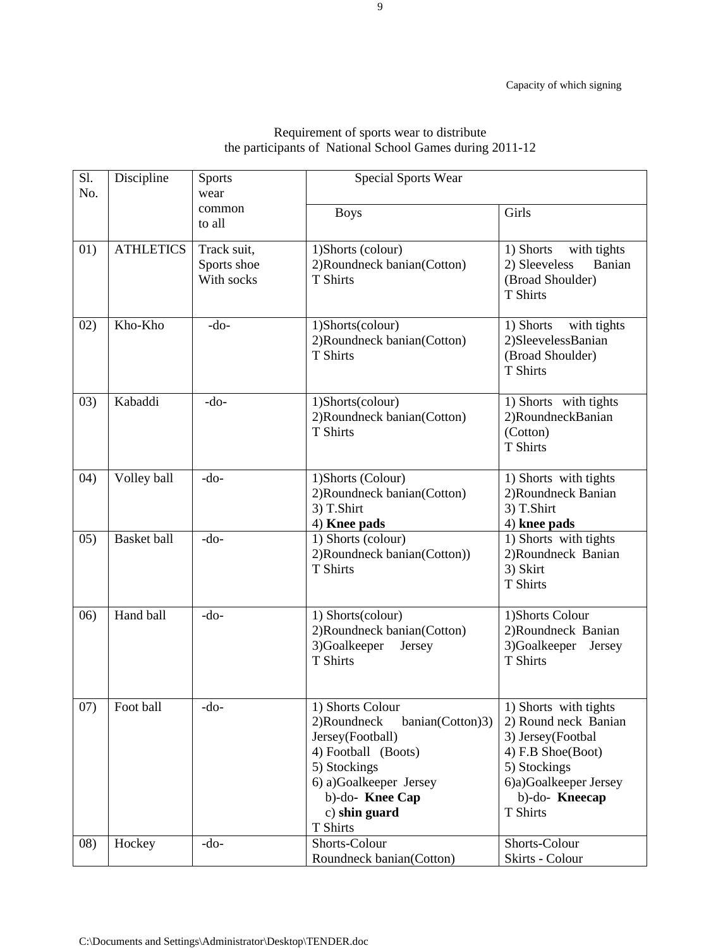| Sl.<br>No. | Discipline         | <b>Sports</b><br>wear                    | <b>Special Sports Wear</b>                                                                                                                                                              |                                                                                                                                                               |  |  |
|------------|--------------------|------------------------------------------|-----------------------------------------------------------------------------------------------------------------------------------------------------------------------------------------|---------------------------------------------------------------------------------------------------------------------------------------------------------------|--|--|
|            |                    | common<br>to all                         | <b>Boys</b>                                                                                                                                                                             | Girls                                                                                                                                                         |  |  |
| 01)        | <b>ATHLETICS</b>   | Track suit,<br>Sports shoe<br>With socks | 1)Shorts (colour)<br>2) Roundneck banian (Cotton)<br>T Shirts                                                                                                                           | with tights<br>1) Shorts<br>2) Sleeveless<br>Banian<br>(Broad Shoulder)<br><b>T</b> Shirts                                                                    |  |  |
| 02)        | Kho-Kho            | $-do-$                                   | 1)Shorts(colour)<br>2)Roundneck banian(Cotton)<br><b>T</b> Shirts                                                                                                                       | 1) Shorts<br>with tights<br>2)SleevelessBanian<br>(Broad Shoulder)<br>T Shirts                                                                                |  |  |
| 03)        | Kabaddi            | $-do-$                                   | 1)Shorts(colour)<br>2) Roundneck banian (Cotton)<br>T Shirts                                                                                                                            | 1) Shorts with tights<br>2)RoundneckBanian<br>(Cotton)<br>T Shirts                                                                                            |  |  |
| (04)       | Volley ball        | -do-                                     | 1)Shorts (Colour)<br>2)Roundneck banian(Cotton)<br>3) T.Shirt<br>4) Knee pads                                                                                                           | 1) Shorts with tights<br>2) Roundneck Banian<br>3) T.Shirt<br>4) knee pads                                                                                    |  |  |
| (0.5)      | <b>Basket</b> ball | $-do-$                                   | 1) Shorts (colour)<br>2) Roundneck banian (Cotton))<br>T Shirts                                                                                                                         | 1) Shorts with tights<br>2)Roundneck Banian<br>3) Skirt<br><b>T</b> Shirts                                                                                    |  |  |
| (06)       | Hand ball          | $-do-$                                   | 1) Shorts(colour)<br>2)Roundneck banian(Cotton)<br>3)Goalkeeper<br>Jersey<br>T Shirts                                                                                                   | 1)Shorts Colour<br>2)Roundneck Banian<br>3)Goalkeeper<br>Jersey<br>T Shirts                                                                                   |  |  |
| 07)        | Foot ball          | $-do-$                                   | 1) Shorts Colour<br>2)Roundneck<br>banian(Cotton)3)<br>Jersey(Football)<br>4) Football (Boots)<br>5) Stockings<br>6) a)Goalkeeper Jersey<br>b)-do-Knee Cap<br>c) shin guard<br>T Shirts | 1) Shorts with tights<br>2) Round neck Banian<br>3) Jersey(Footbal<br>4) F.B Shoe(Boot)<br>5) Stockings<br>6)a)Goalkeeper Jersey<br>b)-do-Kneecap<br>T Shirts |  |  |
| (08)       | Hockey             | $-do-$                                   | Shorts-Colour<br>Roundneck banian(Cotton)                                                                                                                                               | Shorts-Colour<br>Skirts - Colour                                                                                                                              |  |  |

#### Requirement of sports wear to distribute the participants of National School Games during 2011-12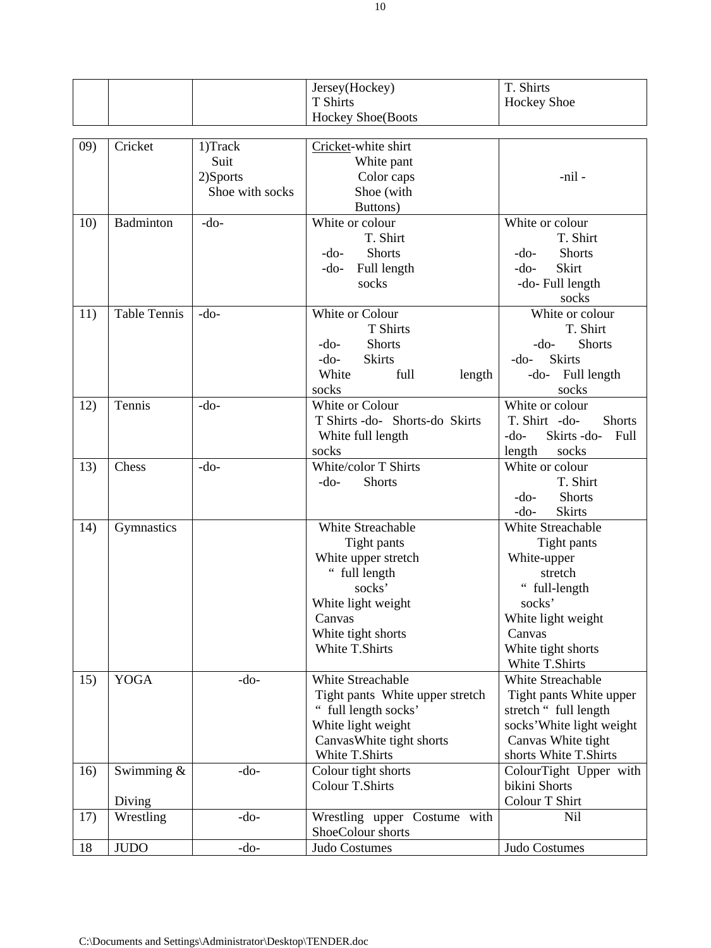|     |                     |                             | Jersey(Hockey)                  | T. Shirts                      |
|-----|---------------------|-----------------------------|---------------------------------|--------------------------------|
|     |                     |                             | <b>T</b> Shirts                 | <b>Hockey Shoe</b>             |
|     |                     |                             | <b>Hockey Shoe(Boots</b>        |                                |
| 09) | Cricket             | 1)Track                     | Cricket-white shirt             |                                |
|     |                     | Suit                        | White pant                      |                                |
|     |                     |                             |                                 | -nil -                         |
|     |                     | 2)Sports<br>Shoe with socks | Color caps<br>Shoe (with        |                                |
|     |                     |                             | Buttons)                        |                                |
| 10) | Badminton           | $-do-$                      | White or colour                 | White or colour                |
|     |                     |                             | T. Shirt                        | T. Shirt                       |
|     |                     |                             | <b>Shorts</b><br>$-do-$         | <b>Shorts</b><br>$-do-$        |
|     |                     |                             | Full length<br>$-do-$           | Skirt<br>$-do-$                |
|     |                     |                             | socks                           |                                |
|     |                     |                             |                                 | -do-Full length                |
| 11) | <b>Table Tennis</b> | $-do-$                      | White or Colour                 | socks<br>White or colour       |
|     |                     |                             | <b>T</b> Shirts                 | T. Shirt                       |
|     |                     |                             | <b>Shorts</b><br>$-do-$         | <b>Shorts</b><br>$-do-$        |
|     |                     |                             | <b>Skirts</b><br>$-do-$         | <b>Skirts</b><br>$-do-$        |
|     |                     |                             | White<br>full                   | -do- Full length               |
|     |                     |                             | length<br>socks                 | socks                          |
| 12) | Tennis              | $-do-$                      | White or Colour                 | White or colour                |
|     |                     |                             | T Shirts -do- Shorts-do Skirts  | T. Shirt -do-<br><b>Shorts</b> |
|     |                     |                             | White full length               | Skirts-do-<br>Full<br>$-do-$   |
|     |                     |                             | socks                           | length<br>socks                |
| 13) | Chess               | $-do-$                      | White/color T Shirts            | White or colour                |
|     |                     |                             | <b>Shorts</b><br>$-do-$         | T. Shirt                       |
|     |                     |                             |                                 | <b>Shorts</b><br>$-do-$        |
|     |                     |                             |                                 | <b>Skirts</b><br>$-do-$        |
| 14) | Gymnastics          |                             | <b>White Streachable</b>        | White Streachable              |
|     |                     |                             | Tight pants                     | Tight pants                    |
|     |                     |                             | White upper stretch             | White-upper                    |
|     |                     |                             | full length                     | stretch                        |
|     |                     |                             | socks'                          | full-length<br>66              |
|     |                     |                             | White light weight              | socks'                         |
|     |                     |                             | Canvas                          | White light weight             |
|     |                     |                             | White tight shorts              | Canvas                         |
|     |                     |                             | <b>White T.Shirts</b>           | White tight shorts             |
|     |                     |                             |                                 | White T.Shirts                 |
| 15) | <b>YOGA</b>         | $-do-$                      | White Streachable               | White Streachable              |
|     |                     |                             | Tight pants White upper stretch | Tight pants White upper        |
|     |                     |                             | full length socks'              | stretch " full length          |
|     |                     |                             | White light weight              | socks' White light weight      |
|     |                     |                             | Canvas White tight shorts       | Canvas White tight             |
|     |                     |                             | White T.Shirts                  | shorts White T.Shirts          |
| 16) | Swimming $\&$       | $-do-$                      | Colour tight shorts             | ColourTight Upper with         |
|     |                     |                             | <b>Colour T.Shirts</b>          | bikini Shorts                  |
|     | Diving              |                             |                                 | Colour T Shirt                 |
| 17) | Wrestling           | $-do-$                      | Wrestling upper Costume with    | Nil                            |
|     |                     |                             | ShoeColour shorts               |                                |
| 18  | <b>JUDO</b>         | $-do-$                      | Judo Costumes                   | Judo Costumes                  |
|     |                     |                             |                                 |                                |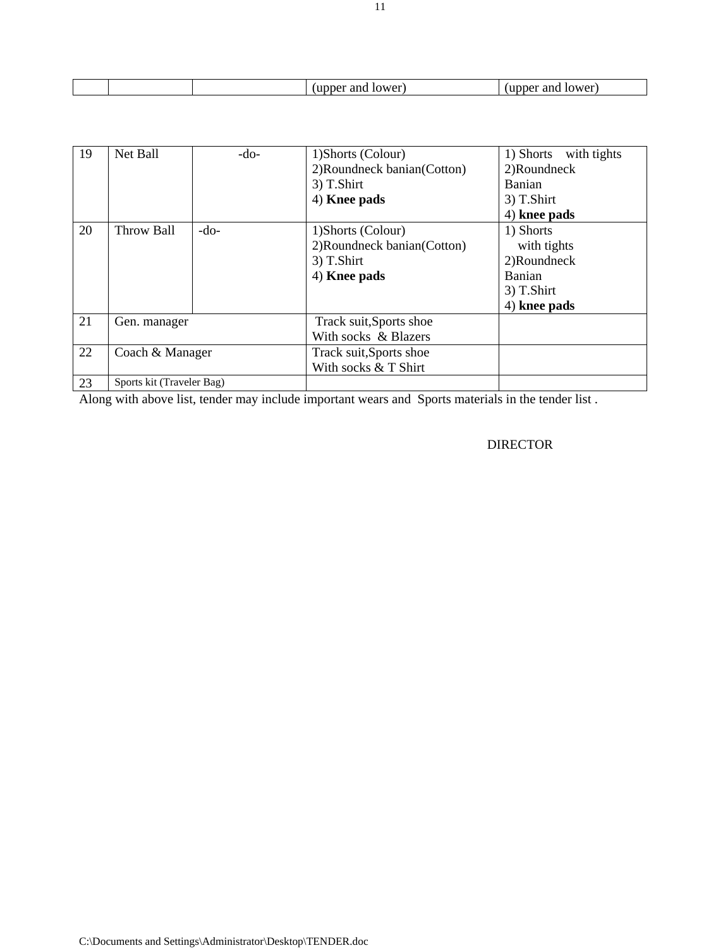| 1 V.A.                          | wer |
|---------------------------------|-----|
|                                 | .   |
| the contract of the contract of | __  |
| $\sim$                          |     |

| 19 | Net Ball                  | $-do-$ | 1) Shorts (Colour)           | 1) Shorts with tights |
|----|---------------------------|--------|------------------------------|-----------------------|
|    |                           |        | 2) Roundneck banian (Cotton) | 2)Roundneck           |
|    |                           |        | 3) T.Shirt                   | Banian                |
|    |                           |        | 4) Knee pads                 | 3) T.Shirt            |
|    |                           |        |                              | 4) knee pads          |
| 20 | Throw Ball                | $-do-$ | 1) Shorts (Colour)           | 1) Shorts             |
|    |                           |        | 2) Roundneck banian (Cotton) | with tights           |
|    |                           |        | 3) T.Shirt                   | 2)Roundneck           |
|    |                           |        | 4) Knee pads                 | Banian                |
|    |                           |        |                              | 3) T.Shirt            |
|    |                           |        |                              | 4) knee pads          |
| 21 | Gen. manager              |        | Track suit, Sports shoe      |                       |
|    |                           |        | With socks & Blazers         |                       |
| 22 | Coach & Manager           |        | Track suit, Sports shoe      |                       |
|    |                           |        | With socks & T Shirt         |                       |
| 23 | Sports kit (Traveler Bag) |        |                              |                       |

Along with above list, tender may include important wears and Sports materials in the tender list .

#### DIRECTOR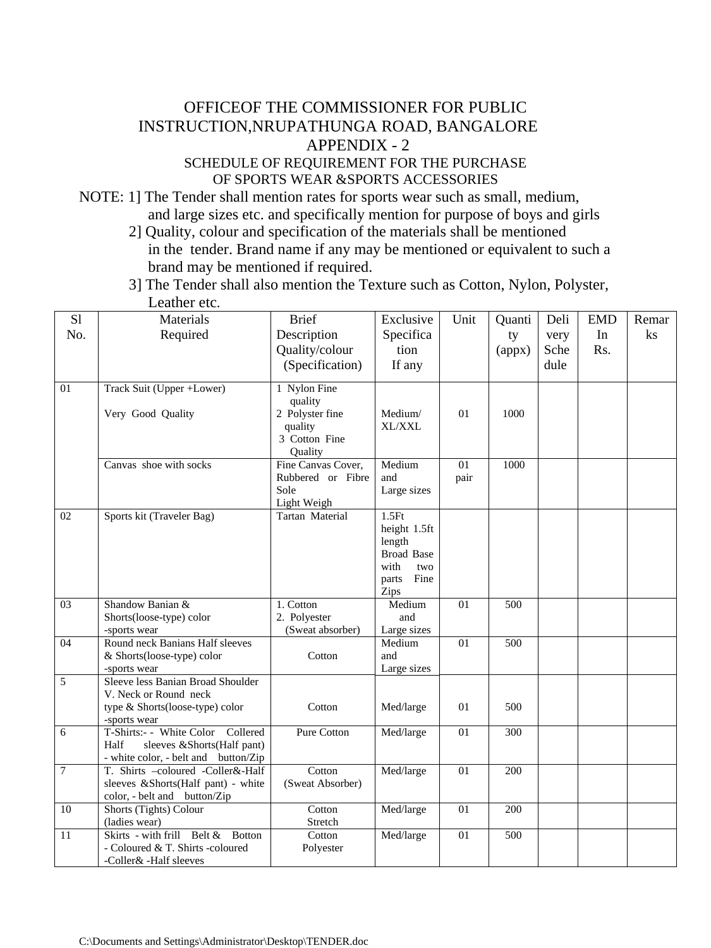# OFFICEOF THE COMMISSIONER FOR PUBLIC INSTRUCTION,NRUPATHUNGA ROAD, BANGALORE APPENDIX - 2

## SCHEDULE OF REQUIREMENT FOR THE PURCHASE OF SPORTS WEAR &SPORTS ACCESSORIES

NOTE: 1] The Tender shall mention rates for sports wear such as small, medium, and large sizes etc. and specifically mention for purpose of boys and girls

- 2] Quality, colour and specification of the materials shall be mentioned in the tender. Brand name if any may be mentioned or equivalent to such a brand may be mentioned if required.
- 3] The Tender shall also mention the Texture such as Cotton, Nylon, Polyster, Leather etc.

| S1              | Materials                                                | <b>Brief</b>                            | Exclusive             | Unit            | Quanti           | Deli | <b>EMD</b> | Remar |
|-----------------|----------------------------------------------------------|-----------------------------------------|-----------------------|-----------------|------------------|------|------------|-------|
| No.             | Required                                                 | Description                             | Specifica             |                 | ty               | very | In         | ks    |
|                 |                                                          | Quality/colour                          | tion                  |                 | (appx)           | Sche | Rs.        |       |
|                 |                                                          | (Specification)                         | If any                |                 |                  | dule |            |       |
|                 |                                                          |                                         |                       |                 |                  |      |            |       |
| 01              | Track Suit (Upper +Lower)                                | 1 Nylon Fine                            |                       |                 |                  |      |            |       |
|                 |                                                          | quality                                 |                       |                 |                  |      |            |       |
|                 | Very Good Quality                                        | 2 Polyster fine                         | Medium/               | 01              | 1000             |      |            |       |
|                 |                                                          | quality                                 | <b>XL/XXL</b>         |                 |                  |      |            |       |
|                 |                                                          | 3 Cotton Fine                           |                       |                 |                  |      |            |       |
|                 | Canvas shoe with socks                                   | Quality                                 | Medium                | 01              | 1000             |      |            |       |
|                 |                                                          | Fine Canvas Cover,<br>Rubbered or Fibre | and                   |                 |                  |      |            |       |
|                 |                                                          | Sole                                    | Large sizes           | pair            |                  |      |            |       |
|                 |                                                          | Light Weigh                             |                       |                 |                  |      |            |       |
| 02              | Sports kit (Traveler Bag)                                | <b>Tartan Material</b>                  | 1.5Ft                 |                 |                  |      |            |       |
|                 |                                                          |                                         | height 1.5ft          |                 |                  |      |            |       |
|                 |                                                          |                                         | length                |                 |                  |      |            |       |
|                 |                                                          |                                         | <b>Broad Base</b>     |                 |                  |      |            |       |
|                 |                                                          |                                         | with<br>two           |                 |                  |      |            |       |
|                 |                                                          |                                         | Fine<br>parts         |                 |                  |      |            |       |
|                 |                                                          |                                         | Zips                  |                 |                  |      |            |       |
| $\overline{03}$ | Shandow Banian &                                         | 1. Cotton                               | Medium                | $\overline{01}$ | $\overline{500}$ |      |            |       |
|                 | Shorts(loose-type) color                                 | 2. Polyester                            | and                   |                 |                  |      |            |       |
| 04              | -sports wear<br>Round neck Banians Half sleeves          | (Sweat absorber)                        | Large sizes<br>Medium | 01              | 500              |      |            |       |
|                 | & Shorts(loose-type) color                               | Cotton                                  | and                   |                 |                  |      |            |       |
|                 | -sports wear                                             |                                         | Large sizes           |                 |                  |      |            |       |
| 5               | Sleeve less Banian Broad Shoulder                        |                                         |                       |                 |                  |      |            |       |
|                 | V. Neck or Round neck                                    |                                         |                       |                 |                  |      |            |       |
|                 | type & Shorts(loose-type) color                          | Cotton                                  | Med/large             | 01              | 500              |      |            |       |
|                 | -sports wear                                             |                                         |                       |                 |                  |      |            |       |
| 6               | T-Shirts:- - White Color<br>Collered                     | <b>Pure Cotton</b>                      | Med/large             | $\overline{01}$ | $\overline{300}$ |      |            |       |
|                 | sleeves &Shorts(Half pant)<br>Half                       |                                         |                       |                 |                  |      |            |       |
|                 | - white color, - belt and button/Zip                     |                                         |                       |                 |                  |      |            |       |
| $\overline{7}$  | T. Shirts -coloured -Coller&-Half                        | Cotton                                  | Med/large             | 01              | 200              |      |            |       |
|                 | sleeves &Shorts(Half pant) - white                       | (Sweat Absorber)                        |                       |                 |                  |      |            |       |
|                 | color, - belt and button/Zip                             |                                         |                       |                 |                  |      |            |       |
| 10              | Shorts (Tights) Colour                                   | Cotton                                  | Med/large             | 01              | 200              |      |            |       |
| 11              | (ladies wear)<br>Skirts - with frill Belt $\&$<br>Botton | Stretch<br>Cotton                       |                       |                 | 500              |      |            |       |
|                 | - Coloured & T. Shirts -coloured                         |                                         | Med/large             | 01              |                  |      |            |       |
|                 | -Coller& -Half sleeves                                   | Polyester                               |                       |                 |                  |      |            |       |
|                 |                                                          |                                         |                       |                 |                  |      |            |       |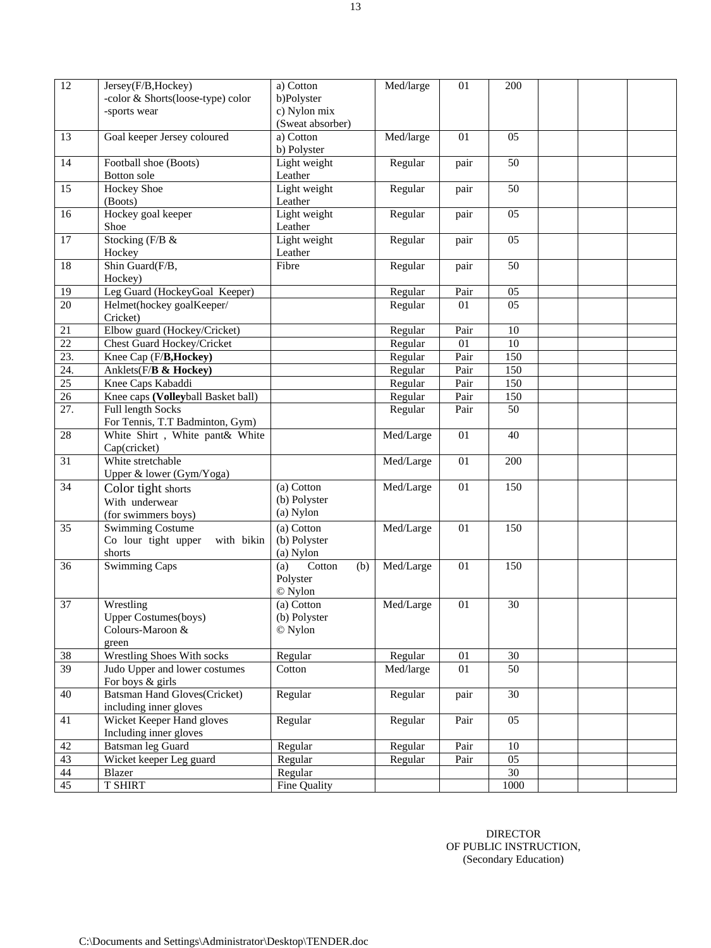| 12                | Jersey(F/B, Hockey)<br>-color & Shorts(loose-type) color<br>-sports wear | a) Cotton<br>b)Polyster<br>c) Nylon mix<br>(Sweat absorber) | Med/large | 01   | 200  |  |  |
|-------------------|--------------------------------------------------------------------------|-------------------------------------------------------------|-----------|------|------|--|--|
| 13                | Goal keeper Jersey coloured                                              | a) Cotton<br>b) Polyster                                    | Med/large | 01   | 05   |  |  |
| 14                | Football shoe (Boots)<br><b>Botton</b> sole                              | Light weight<br>Leather                                     | Regular   | pair | 50   |  |  |
| 15                | <b>Hockey Shoe</b><br>(Boots)                                            | Light weight<br>Leather                                     | Regular   | pair | 50   |  |  |
| 16                | Hockey goal keeper<br>Shoe                                               | Light weight<br>Leather                                     | Regular   | pair | 05   |  |  |
| 17                | Stocking (F/B &<br>Hockey                                                | Light weight<br>Leather                                     | Regular   | pair | 05   |  |  |
| 18                | Shin Guard(F/B,<br>Hockey)                                               | Fibre                                                       | Regular   | pair | 50   |  |  |
| 19                | Leg Guard (HockeyGoal Keeper)                                            |                                                             | Regular   | Pair | 05   |  |  |
| $\overline{20}$   | Helmet(hockey goalKeeper/<br>Cricket)                                    |                                                             | Regular   | 01   | 05   |  |  |
| 21                | Elbow guard (Hockey/Cricket)                                             |                                                             | Regular   | Pair | 10   |  |  |
| 22                | <b>Chest Guard Hockey/Cricket</b>                                        |                                                             | Regular   | 01   | 10   |  |  |
| $\overline{23}$ . | Knee Cap (F/B, Hockey)                                                   |                                                             | Regular   | Pair | 150  |  |  |
| 24.               | Anklets(F/ <b>B &amp; Hockey)</b>                                        |                                                             | Regular   | Pair | 150  |  |  |
| $\overline{25}$   | Knee Caps Kabaddi                                                        |                                                             | Regular   | Pair | 150  |  |  |
| 26                | Knee caps (Volleyball Basket ball)                                       |                                                             | Regular   | Pair | 150  |  |  |
| 27.               | <b>Full length Socks</b>                                                 |                                                             | Regular   | Pair | 50   |  |  |
|                   | For Tennis, T.T Badminton, Gym)                                          |                                                             |           |      |      |  |  |
| 28                | White Shirt, White pant& White                                           |                                                             | Med/Large | 01   | 40   |  |  |
|                   | Cap(cricket)                                                             |                                                             |           |      |      |  |  |
| 31                | White stretchable                                                        |                                                             | Med/Large | 01   | 200  |  |  |
|                   | Upper & lower (Gym/Yoga)                                                 |                                                             |           |      |      |  |  |
| 34                | Color tight shorts                                                       | (a) Cotton                                                  | Med/Large | 01   | 150  |  |  |
|                   | With underwear                                                           | (b) Polyster                                                |           |      |      |  |  |
|                   | (for swimmers boys)                                                      | (a) Nylon                                                   |           |      |      |  |  |
| 35                | <b>Swimming Costume</b>                                                  | (a) Cotton                                                  | Med/Large | 01   | 150  |  |  |
|                   | Co lour tight upper<br>with bikin                                        | (b) Polyster                                                |           |      |      |  |  |
|                   | shorts                                                                   | (a) Nylon                                                   |           |      |      |  |  |
| $\overline{36}$   | Swimming Caps                                                            | $\overline{(a)}$ Cotton<br>(b)<br>Polyster<br>© Nylon       | Med/Large | 01   | 150  |  |  |
| 37                | Wrestling                                                                | (a) Cotton                                                  | Med/Large | 01   | 30   |  |  |
|                   | <b>Upper Costumes</b> (boys)                                             | (b) Polyster                                                |           |      |      |  |  |
|                   | Colours-Maroon &                                                         | © Nylon                                                     |           |      |      |  |  |
| 38                | green<br>Wrestling Shoes With socks                                      | Regular                                                     | Regular   | 01   | 30   |  |  |
| $\overline{39}$   | Judo Upper and lower costumes                                            | Cotton                                                      | Med/large | 01   | 50   |  |  |
|                   | For boys & girls                                                         |                                                             |           |      |      |  |  |
| 40                | <b>Batsman Hand Gloves(Cricket)</b><br>including inner gloves            | Regular                                                     | Regular   | pair | 30   |  |  |
| 41                | Wicket Keeper Hand gloves<br>Including inner gloves                      | Regular                                                     | Regular   | Pair | 05   |  |  |
| 42                | <b>Batsman leg Guard</b>                                                 | Regular                                                     | Regular   | Pair | 10   |  |  |
| $\overline{43}$   | Wicket keeper Leg guard                                                  | Regular                                                     | Regular   | Pair | 05   |  |  |
| 44                | Blazer                                                                   | Regular                                                     |           |      | 30   |  |  |
| $\overline{45}$   | <b>T SHIRT</b>                                                           | Fine Quality                                                |           |      | 1000 |  |  |
|                   |                                                                          |                                                             |           |      |      |  |  |

DIRECTOR OF PUBLIC INSTRUCTION, (Secondary Education)